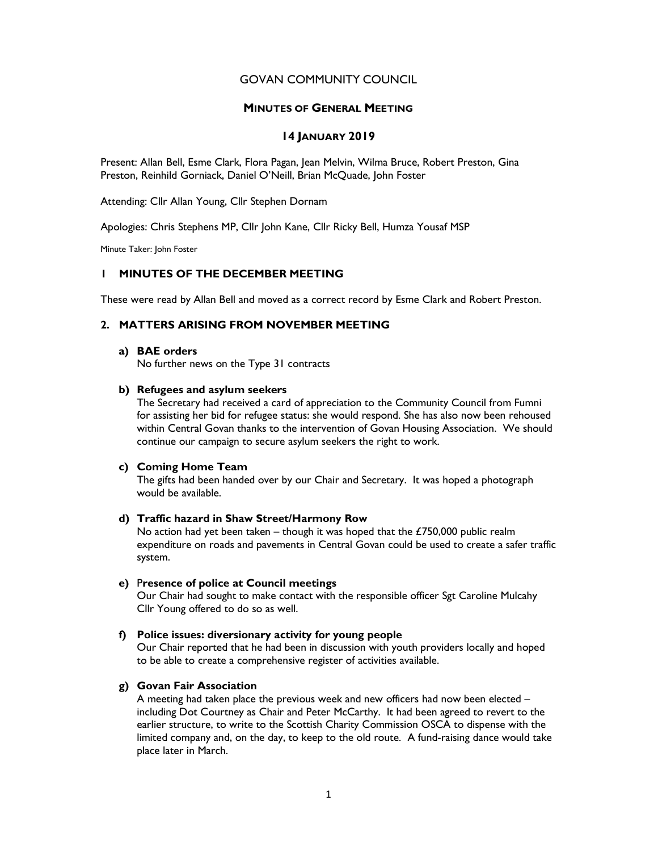# GOVAN COMMUNITY COUNCIL

#### MINUTES OF GENERAL MEETING

## 14 JANUARY 2019

Present: Allan Bell, Esme Clark, Flora Pagan, Jean Melvin, Wilma Bruce, Robert Preston, Gina Preston, Reinhild Gorniack, Daniel O'Neill, Brian McQuade, John Foster

Attending: Cllr Allan Young, Cllr Stephen Dornam

Apologies: Chris Stephens MP, Cllr John Kane, Cllr Ricky Bell, Humza Yousaf MSP

Minute Taker: John Foster

# 1 MINUTES OF THE DECEMBER MEETING

These were read by Allan Bell and moved as a correct record by Esme Clark and Robert Preston.

# 2. MATTERS ARISING FROM NOVEMBER MEETING

#### a) BAE orders

No further news on the Type 31 contracts

## b) Refugees and asylum seekers

The Secretary had received a card of appreciation to the Community Council from Fumni for assisting her bid for refugee status: she would respond. She has also now been rehoused within Central Govan thanks to the intervention of Govan Housing Association. We should continue our campaign to secure asylum seekers the right to work.

## c) Coming Home Team

The gifts had been handed over by our Chair and Secretary. It was hoped a photograph would be available.

#### d) Traffic hazard in Shaw Street/Harmony Row

No action had yet been taken – though it was hoped that the  $£750,000$  public realm expenditure on roads and pavements in Central Govan could be used to create a safer traffic system.

## e) Presence of police at Council meetings

Our Chair had sought to make contact with the responsible officer Sgt Caroline Mulcahy Cllr Young offered to do so as well.

## f) Police issues: diversionary activity for young people

Our Chair reported that he had been in discussion with youth providers locally and hoped to be able to create a comprehensive register of activities available.

## g) Govan Fair Association

A meeting had taken place the previous week and new officers had now been elected – including Dot Courtney as Chair and Peter McCarthy. It had been agreed to revert to the earlier structure, to write to the Scottish Charity Commission OSCA to dispense with the limited company and, on the day, to keep to the old route. A fund-raising dance would take place later in March.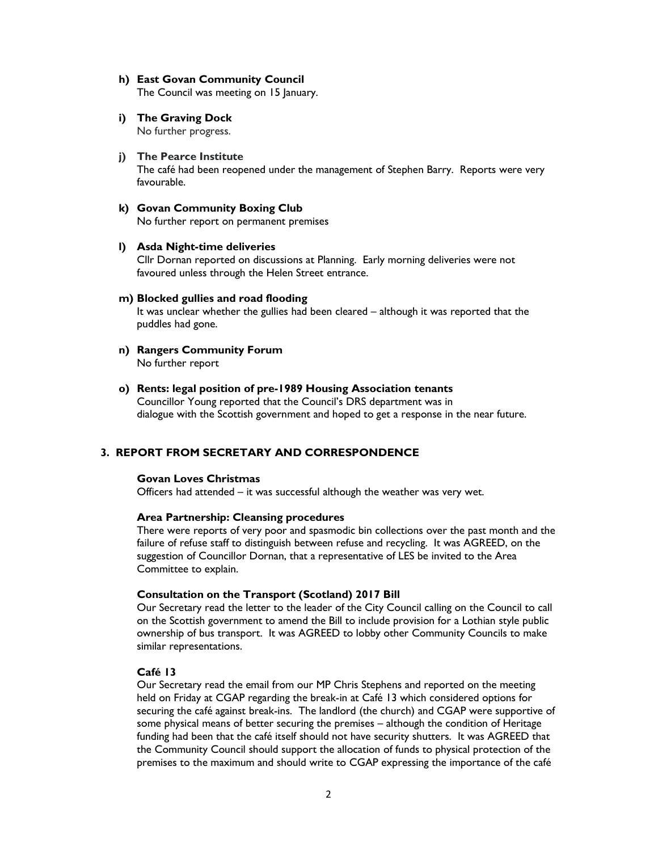# h) East Govan Community Council

The Council was meeting on 15 January.

# i) The Graving Dock

No further progress.

## j) The Pearce Institute

The café had been reopened under the management of Stephen Barry. Reports were very favourable.

# k) Govan Community Boxing Club

No further report on permanent premises

#### l) Asda Night-time deliveries

Cllr Dornan reported on discussions at Planning. Early morning deliveries were not favoured unless through the Helen Street entrance.

#### m) Blocked gullies and road flooding

It was unclear whether the gullies had been cleared – although it was reported that the puddles had gone.

- n) Rangers Community Forum No further report
- o) Rents: legal position of pre-1989 Housing Association tenants Councillor Young reported that the Council's DRS department was in dialogue with the Scottish government and hoped to get a response in the near future.

# 3. REPORT FROM SECRETARY AND CORRESPONDENCE

#### Govan Loves Christmas

Officers had attended – it was successful although the weather was very wet.

#### Area Partnership: Cleansing procedures

There were reports of very poor and spasmodic bin collections over the past month and the failure of refuse staff to distinguish between refuse and recycling. It was AGREED, on the suggestion of Councillor Dornan, that a representative of LES be invited to the Area Committee to explain.

#### Consultation on the Transport (Scotland) 2017 Bill

Our Secretary read the letter to the leader of the City Council calling on the Council to call on the Scottish government to amend the Bill to include provision for a Lothian style public ownership of bus transport. It was AGREED to lobby other Community Councils to make similar representations.

## Café 13

Our Secretary read the email from our MP Chris Stephens and reported on the meeting held on Friday at CGAP regarding the break-in at Café 13 which considered options for securing the café against break-ins. The landlord (the church) and CGAP were supportive of some physical means of better securing the premises – although the condition of Heritage funding had been that the café itself should not have security shutters. It was AGREED that the Community Council should support the allocation of funds to physical protection of the premises to the maximum and should write to CGAP expressing the importance of the café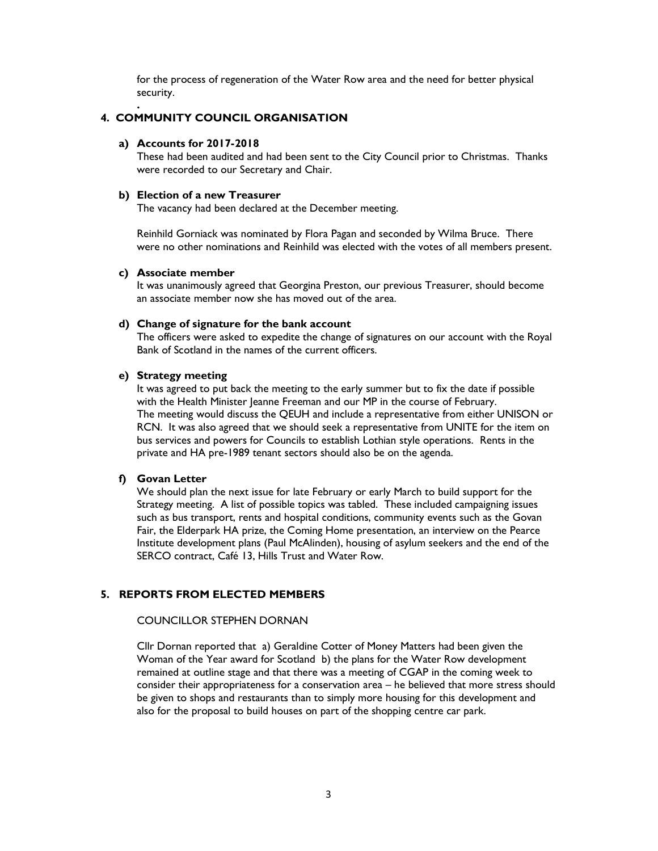for the process of regeneration of the Water Row area and the need for better physical security.

# 4. COMMUNITY COUNCIL ORGANISATION

#### a) Accounts for 2017-2018

.

These had been audited and had been sent to the City Council prior to Christmas. Thanks were recorded to our Secretary and Chair.

#### b) Election of a new Treasurer

The vacancy had been declared at the December meeting.

Reinhild Gorniack was nominated by Flora Pagan and seconded by Wilma Bruce. There were no other nominations and Reinhild was elected with the votes of all members present.

# c) Associate member

It was unanimously agreed that Georgina Preston, our previous Treasurer, should become an associate member now she has moved out of the area.

#### d) Change of signature for the bank account

The officers were asked to expedite the change of signatures on our account with the Royal Bank of Scotland in the names of the current officers.

#### e) Strategy meeting

It was agreed to put back the meeting to the early summer but to fix the date if possible with the Health Minister Jeanne Freeman and our MP in the course of February. The meeting would discuss the QEUH and include a representative from either UNISON or RCN. It was also agreed that we should seek a representative from UNITE for the item on bus services and powers for Councils to establish Lothian style operations. Rents in the private and HA pre-1989 tenant sectors should also be on the agenda.

#### f) Govan Letter

We should plan the next issue for late February or early March to build support for the Strategy meeting. A list of possible topics was tabled. These included campaigning issues such as bus transport, rents and hospital conditions, community events such as the Govan Fair, the Elderpark HA prize, the Coming Home presentation, an interview on the Pearce Institute development plans (Paul McAlinden), housing of asylum seekers and the end of the SERCO contract, Café 13, Hills Trust and Water Row.

#### 5. REPORTS FROM ELECTED MEMBERS

# COUNCILLOR STEPHEN DORNAN

Cllr Dornan reported that a) Geraldine Cotter of Money Matters had been given the Woman of the Year award for Scotland b) the plans for the Water Row development remained at outline stage and that there was a meeting of CGAP in the coming week to consider their appropriateness for a conservation area – he believed that more stress should be given to shops and restaurants than to simply more housing for this development and also for the proposal to build houses on part of the shopping centre car park.